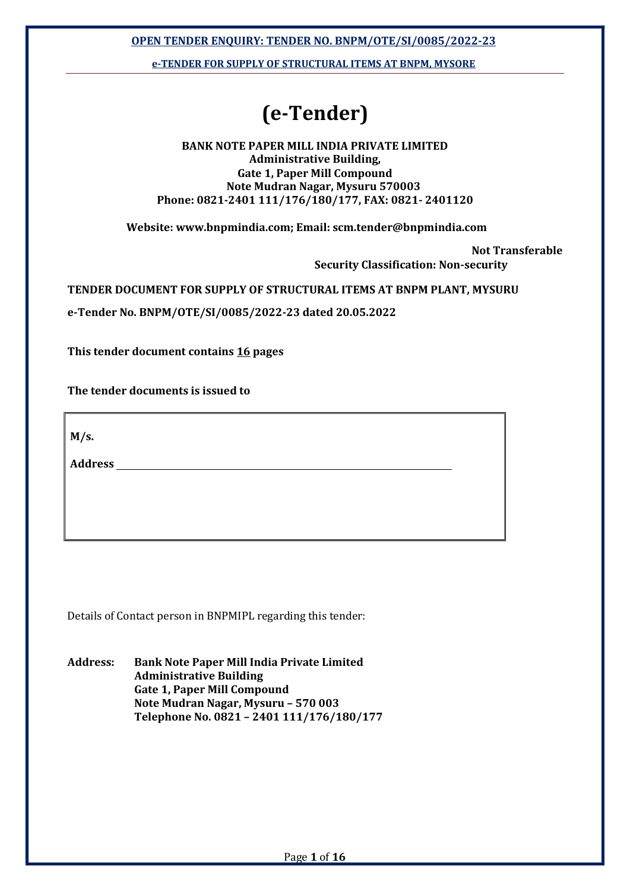OPEN TENDER ENQUIRY: TENDER NO. BNPM/OTE/SI/0085/2022-23

e-TENDER FOR SUPPLY OF STRUCTURAL ITEMS AT BNPM, MYSORE

# (e-Tender)

#### BANK NOTE PAPER MILL INDIA PRIVATE LIMITED Administrative Building, Gate 1, Paper Mill Compound Note Mudran Nagar, Mysuru 570003 Phone: 0821-2401 111/176/180/177, FAX: 0821- 2401120

Website: www.bnpmindia.com; Email: scm.tender@bnpmindia.com

Not Transferable

Security Classification: Non-security

TENDER DOCUMENT FOR SUPPLY OF STRUCTURAL ITEMS AT BNPM PLANT, MYSURU

e-Tender No. BNPM/OTE/SI/0085/2022-23 dated 20.05.2022

This tender document contains 16 pages

The tender documents is issued to

 $M/s$ .

**Address** 

Details of Contact person in BNPMIPL regarding this tender:

Address: Bank Note Paper Mill India Private Limited Administrative Building Gate 1, Paper Mill Compound Note Mudran Nagar, Mysuru – 570 003 Telephone No. 0821 – 2401 111/176/180/177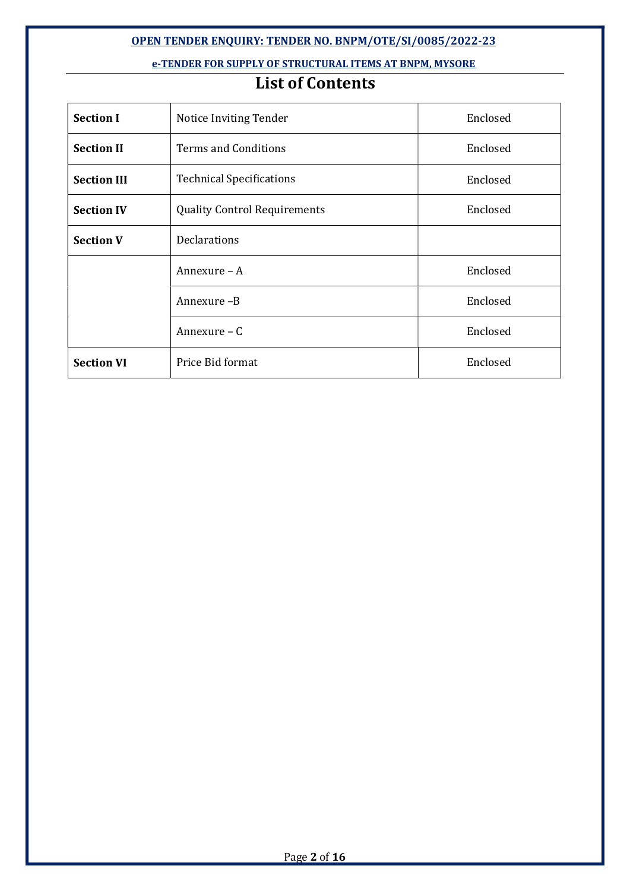#### OPEN TENDER ENQUIRY: TENDER NO. BNPM/OTE/SI/0085/2022-23

#### e-TENDER FOR SUPPLY OF STRUCTURAL ITEMS AT BNPM, MYSORE

## List of Contents

| <b>Section I</b>   | Notice Inviting Tender              | Enclosed |
|--------------------|-------------------------------------|----------|
| <b>Section II</b>  | <b>Terms and Conditions</b>         | Enclosed |
| <b>Section III</b> | <b>Technical Specifications</b>     | Enclosed |
| <b>Section IV</b>  | <b>Quality Control Requirements</b> | Enclosed |
| <b>Section V</b>   | <b>Declarations</b>                 |          |
|                    | Annexure $-A$                       | Enclosed |
|                    | Annexure -B                         | Enclosed |
|                    | Annexure - C                        | Enclosed |
| <b>Section VI</b>  | Price Bid format                    | Enclosed |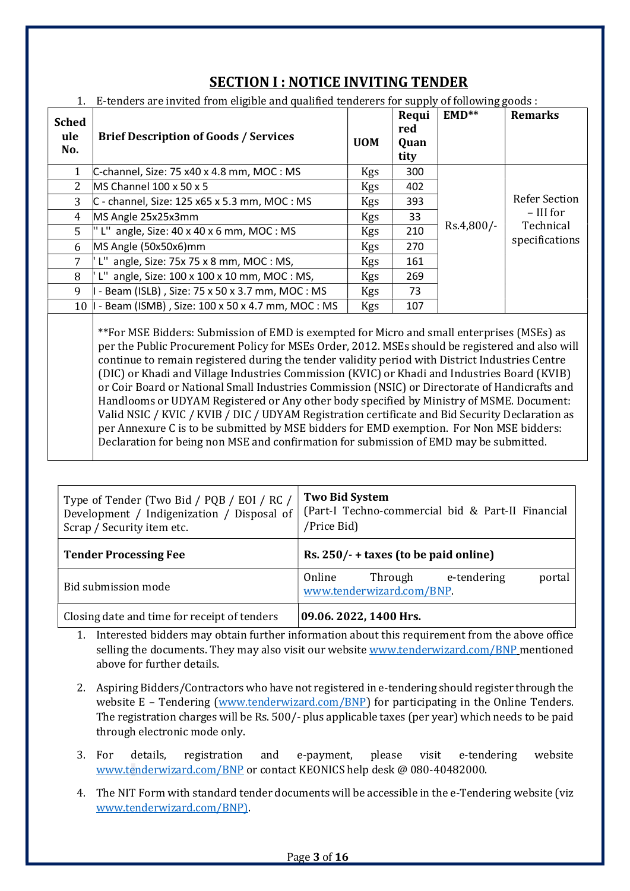| <b>Sched</b><br>ule<br>No. | <b>Brief Description of Goods / Services</b>             | <b>UOM</b> | Requi<br>red<br>Quan<br>tity | $EMD**$    | <b>Remarks</b>       |
|----------------------------|----------------------------------------------------------|------------|------------------------------|------------|----------------------|
|                            | C-channel, Size: 75 x40 x 4.8 mm, MOC : MS               | Kgs        | 300                          |            |                      |
| 2                          | MS Channel 100 x 50 x 5                                  | Kgs        | 402                          |            |                      |
| 3                          | C - channel, Size: 125 x65 x 5.3 mm, MOC : MS            | <b>Kgs</b> | 393                          |            | <b>Refer Section</b> |
| 4                          | MS Angle 25x25x3mm                                       | Kgs        | 33                           |            | – III for            |
| 5                          | L" angle, Size: $40 \times 40 \times 6$ mm, MOC: MS      | Kgs        | 210                          | Rs.4,800/- | Technical            |
| 6                          | MS Angle (50x50x6)mm                                     | Kgs        | 270                          |            | specifications       |
| 7                          | L" angle, Size: $75x 75x 8$ mm, MOC: MS,                 | <b>Kgs</b> | 161                          |            |                      |
| 8                          | L" angle, Size: $100 \times 100 \times 10$ mm, MOC : MS, | Kgs        | 269                          |            |                      |
| 9                          | - Beam (ISLB), Size: 75 x 50 x 3.7 mm, MOC: MS           | Kgs        | 73                           |            |                      |
| 10                         | - Beam (ISMB), Size: 100 x 50 x 4.7 mm, MOC: MS          | <b>Kgs</b> | 107                          |            |                      |
|                            |                                                          |            |                              |            |                      |

## SECTION I : NOTICE INVITING TENDER

#### 1. E-tenders are invited from eligible and qualified tenderers for supply of following goods :

\*\*For MSE Bidders: Submission of EMD is exempted for Micro and small enterprises (MSEs) as per the Public Procurement Policy for MSEs Order, 2012. MSEs should be registered and also will continue to remain registered during the tender validity period with District Industries Centre (DIC) or Khadi and Village Industries Commission (KVIC) or Khadi and Industries Board (KVIB) or Coir Board or National Small Industries Commission (NSIC) or Directorate of Handicrafts and Handlooms or UDYAM Registered or Any other body specified by Ministry of MSME. Document: Valid NSIC / KVIC / KVIB / DIC / UDYAM Registration certificate and Bid Security Declaration as per Annexure C is to be submitted by MSE bidders for EMD exemption. For Non MSE bidders: Declaration for being non MSE and confirmation for submission of EMD may be submitted.

| Type of Tender (Two Bid / PQB / EOI / RC /<br>Development / Indigenization / Disposal of<br>Scrap / Security item etc. | <b>Two Bid System</b><br>(Part-I Techno-commercial bid & Part-II Financial<br>/Price Bid) |  |  |  |  |  |  |
|------------------------------------------------------------------------------------------------------------------------|-------------------------------------------------------------------------------------------|--|--|--|--|--|--|
| <b>Tender Processing Fee</b>                                                                                           | Rs. $250/- +$ taxes (to be paid online)                                                   |  |  |  |  |  |  |
| Bid submission mode                                                                                                    | e-tendering<br>Online<br>Through<br>portal<br>www.tenderwizard.com/BNP.                   |  |  |  |  |  |  |
| Closing date and time for receipt of tenders                                                                           | 09.06. 2022, 1400 Hrs.                                                                    |  |  |  |  |  |  |

- 1. Interested bidders may obtain further information about this requirement from the above office selling the documents. They may also visit our website www.tenderwizard.com/BNP mentioned above for further details.
- 2. Aspiring Bidders/Contractors who have not registered in e-tendering should register through the website E – Tendering (www.tenderwizard.com/BNP) for participating in the Online Tenders. The registration charges will be Rs. 500/- plus applicable taxes (per year) which needs to be paid through electronic mode only.
- 3. For details, registration and e-payment, please visit e-tendering website www.tenderwizard.com/BNP or contact KEONICS help desk @ 080-40482000.
- 4. The NIT Form with standard tender documents will be accessible in the e-Tendering website (viz www.tenderwizard.com/BNP).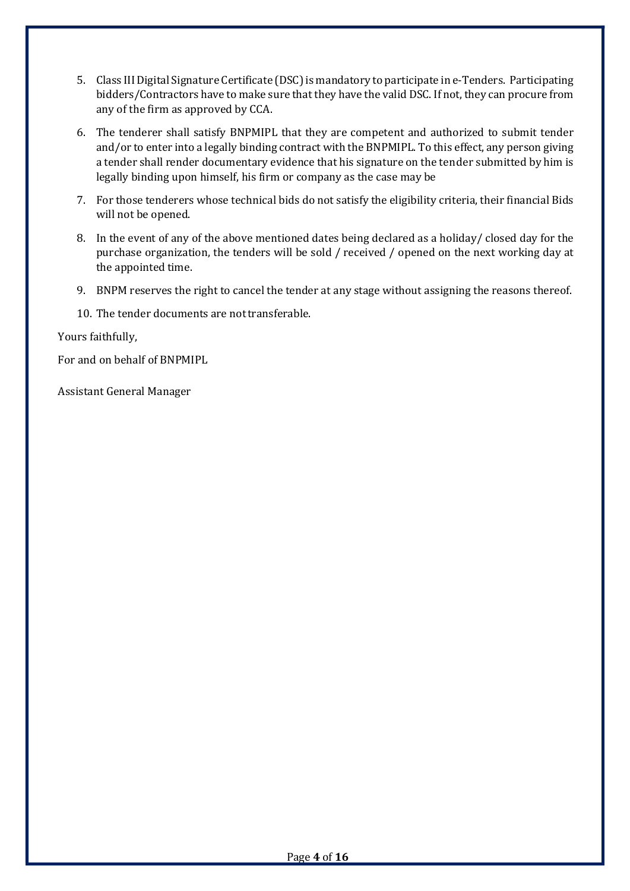- 5. Class III Digital Signature Certificate (DSC) is mandatory to participate in e-Tenders. Participating bidders/Contractors have to make sure that they have the valid DSC. If not, they can procure from any of the firm as approved by CCA.
- 6. The tenderer shall satisfy BNPMIPL that they are competent and authorized to submit tender and/or to enter into a legally binding contract with the BNPMIPL. To this effect, any person giving a tender shall render documentary evidence that his signature on the tender submitted by him is legally binding upon himself, his firm or company as the case may be
- 7. For those tenderers whose technical bids do not satisfy the eligibility criteria, their financial Bids will not be opened.
- 8. In the event of any of the above mentioned dates being declared as a holiday/ closed day for the purchase organization, the tenders will be sold / received / opened on the next working day at the appointed time.
- 9. BNPM reserves the right to cancel the tender at any stage without assigning the reasons thereof.
- 10. The tender documents are not transferable.

Yours faithfully,

For and on behalf of BNPMIPL

Assistant General Manager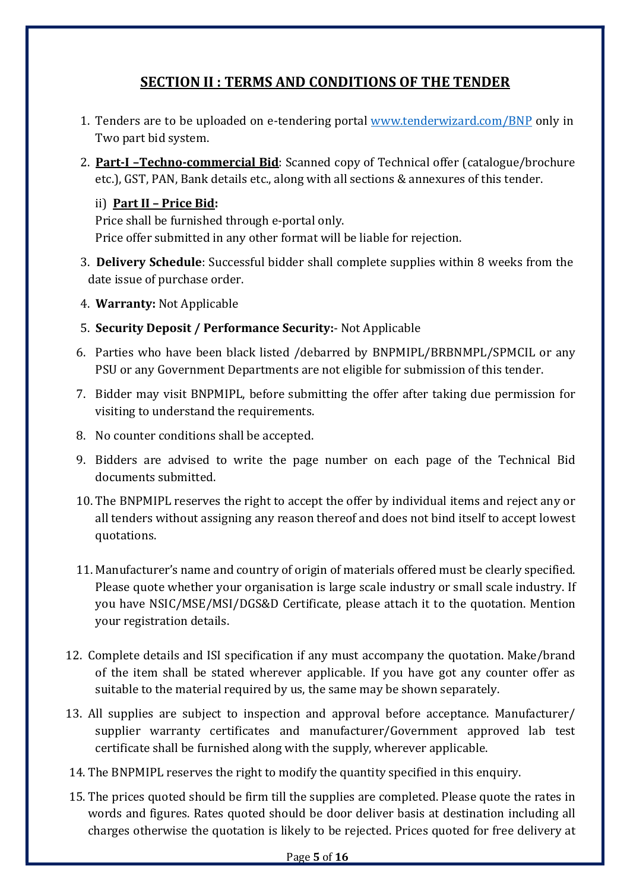## SECTION II : TERMS AND CONDITIONS OF THE TENDER

- 1. Tenders are to be uploaded on e-tendering portal www.tenderwizard.com/BNP only in Two part bid system.
- 2. Part-I –Techno-commercial Bid: Scanned copy of Technical offer (catalogue/brochure etc.), GST, PAN, Bank details etc., along with all sections & annexures of this tender.

### ii) Part II – Price Bid:

Price shall be furnished through e-portal only. Price offer submitted in any other format will be liable for rejection.

- 3. Delivery Schedule: Successful bidder shall complete supplies within 8 weeks from the date issue of purchase order.
- 4. Warranty: Not Applicable
- 5. Security Deposit / Performance Security:- Not Applicable
- 6. Parties who have been black listed /debarred by BNPMIPL/BRBNMPL/SPMCIL or any PSU or any Government Departments are not eligible for submission of this tender.
- 7. Bidder may visit BNPMIPL, before submitting the offer after taking due permission for visiting to understand the requirements.
- 8. No counter conditions shall be accepted.
- 9. Bidders are advised to write the page number on each page of the Technical Bid documents submitted.
- 10. The BNPMIPL reserves the right to accept the offer by individual items and reject any or all tenders without assigning any reason thereof and does not bind itself to accept lowest quotations.
- 11. Manufacturer's name and country of origin of materials offered must be clearly specified. Please quote whether your organisation is large scale industry or small scale industry. If you have NSIC/MSE/MSI/DGS&D Certificate, please attach it to the quotation. Mention your registration details.
- 12. Complete details and ISI specification if any must accompany the quotation. Make/brand of the item shall be stated wherever applicable. If you have got any counter offer as suitable to the material required by us, the same may be shown separately.
- 13. All supplies are subject to inspection and approval before acceptance. Manufacturer/ supplier warranty certificates and manufacturer/Government approved lab test certificate shall be furnished along with the supply, wherever applicable.
- 14. The BNPMIPL reserves the right to modify the quantity specified in this enquiry.
- 15. The prices quoted should be firm till the supplies are completed. Please quote the rates in words and figures. Rates quoted should be door deliver basis at destination including all charges otherwise the quotation is likely to be rejected. Prices quoted for free delivery at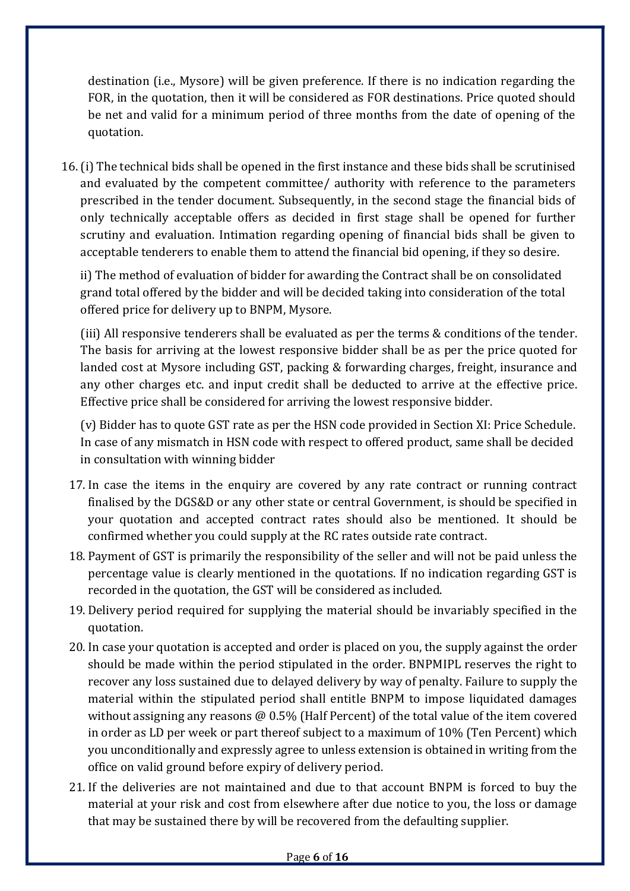destination (i.e., Mysore) will be given preference. If there is no indication regarding the FOR, in the quotation, then it will be considered as FOR destinations. Price quoted should be net and valid for a minimum period of three months from the date of opening of the quotation.

16.(i) The technical bids shall be opened in the first instance and these bids shall be scrutinised and evaluated by the competent committee/ authority with reference to the parameters prescribed in the tender document. Subsequently, in the second stage the financial bids of only technically acceptable offers as decided in first stage shall be opened for further scrutiny and evaluation. Intimation regarding opening of financial bids shall be given to acceptable tenderers to enable them to attend the financial bid opening, if they so desire.

ii) The method of evaluation of bidder for awarding the Contract shall be on consolidated grand total offered by the bidder and will be decided taking into consideration of the total offered price for delivery up to BNPM, Mysore.

(iii) All responsive tenderers shall be evaluated as per the terms & conditions of the tender. The basis for arriving at the lowest responsive bidder shall be as per the price quoted for landed cost at Mysore including GST, packing & forwarding charges, freight, insurance and any other charges etc. and input credit shall be deducted to arrive at the effective price. Effective price shall be considered for arriving the lowest responsive bidder.

(v) Bidder has to quote GST rate as per the HSN code provided in Section XI: Price Schedule. In case of any mismatch in HSN code with respect to offered product, same shall be decided in consultation with winning bidder

- 17. In case the items in the enquiry are covered by any rate contract or running contract finalised by the DGS&D or any other state or central Government, is should be specified in your quotation and accepted contract rates should also be mentioned. It should be confirmed whether you could supply at the RC rates outside rate contract.
- 18. Payment of GST is primarily the responsibility of the seller and will not be paid unless the percentage value is clearly mentioned in the quotations. If no indication regarding GST is recorded in the quotation, the GST will be considered as included.
- 19. Delivery period required for supplying the material should be invariably specified in the quotation.
- 20. In case your quotation is accepted and order is placed on you, the supply against the order should be made within the period stipulated in the order. BNPMIPL reserves the right to recover any loss sustained due to delayed delivery by way of penalty. Failure to supply the material within the stipulated period shall entitle BNPM to impose liquidated damages without assigning any reasons @ 0.5% (Half Percent) of the total value of the item covered in order as LD per week or part thereof subject to a maximum of 10% (Ten Percent) which you unconditionally and expressly agree to unless extension is obtained in writing from the office on valid ground before expiry of delivery period.
- 21. If the deliveries are not maintained and due to that account BNPM is forced to buy the material at your risk and cost from elsewhere after due notice to you, the loss or damage that may be sustained there by will be recovered from the defaulting supplier.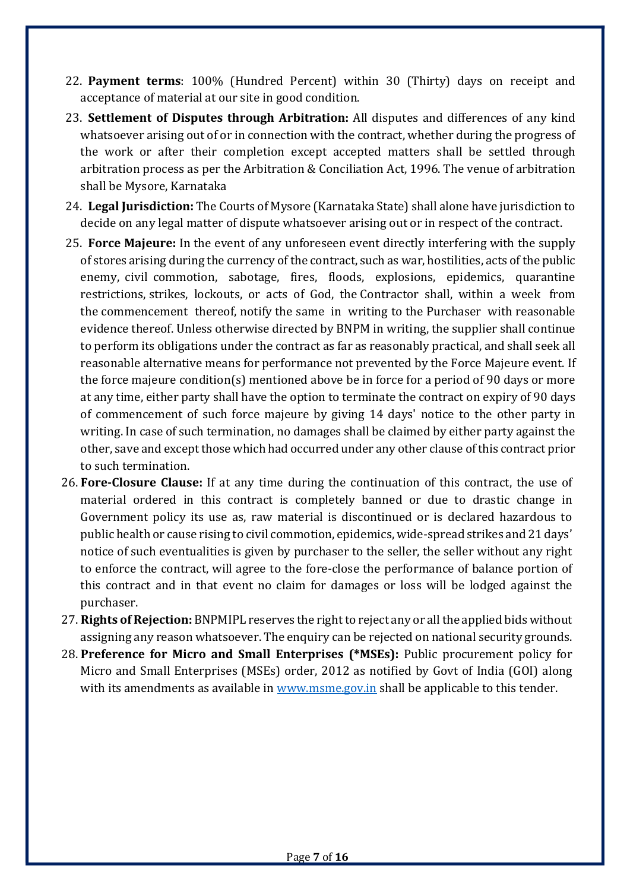- 22. Payment terms: 100% (Hundred Percent) within 30 (Thirty) days on receipt and acceptance of material at our site in good condition.
- 23. Settlement of Disputes through Arbitration: All disputes and differences of any kind whatsoever arising out of or in connection with the contract, whether during the progress of the work or after their completion except accepted matters shall be settled through arbitration process as per the Arbitration & Conciliation Act, 1996. The venue of arbitration shall be Mysore, Karnataka
- 24. Legal Jurisdiction: The Courts of Mysore (Karnataka State) shall alone have jurisdiction to decide on any legal matter of dispute whatsoever arising out or in respect of the contract.
- 25. Force Majeure: In the event of any unforeseen event directly interfering with the supply of stores arising during the currency of the contract, such as war, hostilities, acts of the public enemy, civil commotion, sabotage, fires, floods, explosions, epidemics, quarantine restrictions, strikes, lockouts, or acts of God, the Contractor shall, within a week from the commencement thereof, notify the same in writing to the Purchaser with reasonable evidence thereof. Unless otherwise directed by BNPM in writing, the supplier shall continue to perform its obligations under the contract as far as reasonably practical, and shall seek all reasonable alternative means for performance not prevented by the Force Majeure event. If the force majeure condition(s) mentioned above be in force for a period of 90 days or more at any time, either party shall have the option to terminate the contract on expiry of 90 days of commencement of such force majeure by giving 14 days' notice to the other party in writing. In case of such termination, no damages shall be claimed by either party against the other, save and except those which had occurred under any other clause of this contract prior to such termination.
- 26. Fore-Closure Clause: If at any time during the continuation of this contract, the use of material ordered in this contract is completely banned or due to drastic change in Government policy its use as, raw material is discontinued or is declared hazardous to public health or cause rising to civil commotion, epidemics, wide-spread strikes and 21 days' notice of such eventualities is given by purchaser to the seller, the seller without any right to enforce the contract, will agree to the fore-close the performance of balance portion of this contract and in that event no claim for damages or loss will be lodged against the purchaser.
- 27. Rights of Rejection: BNPMIPL reserves the right to reject any or all the applied bids without assigning any reason whatsoever. The enquiry can be rejected on national security grounds.
- 28. Preference for Micro and Small Enterprises (\*MSEs): Public procurement policy for Micro and Small Enterprises (MSEs) order, 2012 as notified by Govt of India (GOI) along with its amendments as available in www.msme.gov.in shall be applicable to this tender.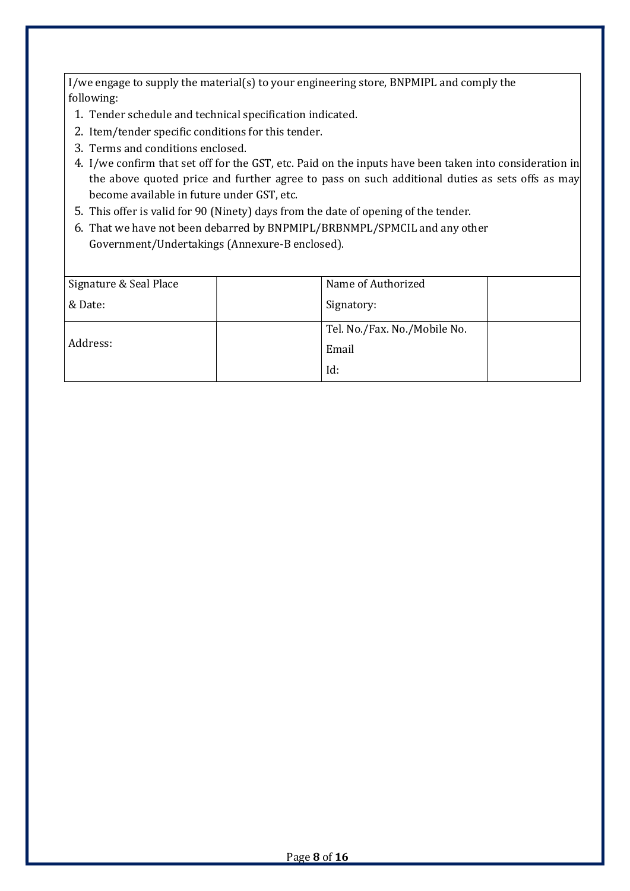I/we engage to supply the material(s) to your engineering store, BNPMIPL and comply the following:

- 1. Tender schedule and technical specification indicated.
- 2. Item/tender specific conditions for this tender.
- 3. Terms and conditions enclosed.
- 4. I/we confirm that set off for the GST, etc. Paid on the inputs have been taken into consideration in the above quoted price and further agree to pass on such additional duties as sets offs as may become available in future under GST, etc.
- 5. This offer is valid for 90 (Ninety) days from the date of opening of the tender.
- 6. That we have not been debarred by BNPMIPL/BRBNMPL/SPMCIL and any other Government/Undertakings (Annexure-B enclosed).

| Signature & Seal Place | Name of Authorized           |
|------------------------|------------------------------|
| & Date:                | Signatory:                   |
|                        | Tel. No./Fax. No./Mobile No. |
| Address:               | Email                        |
|                        | Id:                          |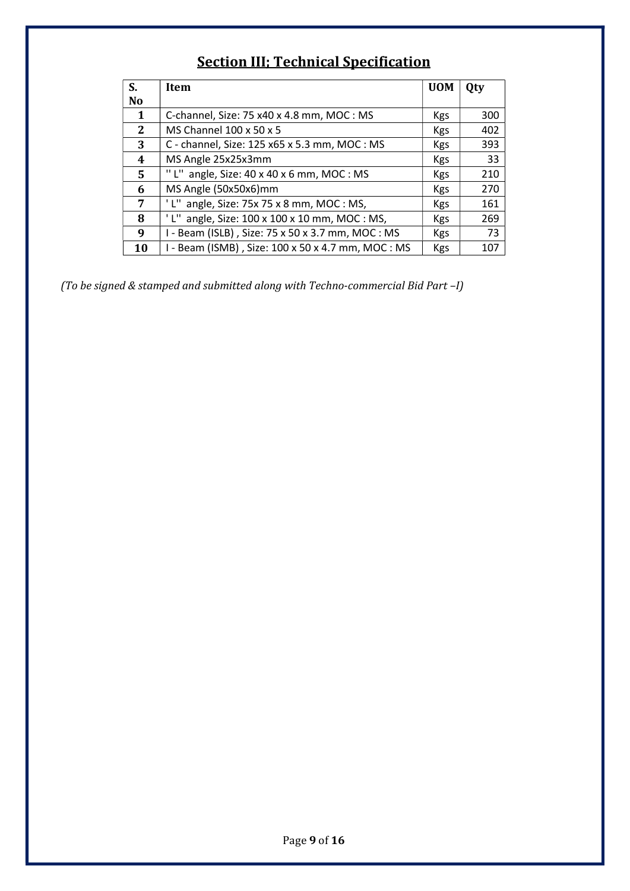## Section III; Technical Specification

| S.             | Item                                                 | <b>UOM</b> | Qty |
|----------------|------------------------------------------------------|------------|-----|
| N <sub>o</sub> |                                                      |            |     |
| 1              | C-channel, Size: 75 x40 x 4.8 mm, MOC : MS           | Kgs        | 300 |
| $\mathbf{2}$   | MS Channel 100 x 50 x 5                              | Kgs        | 402 |
| 3              | C - channel, Size: 125 x65 x 5.3 mm, MOC : MS        | Kgs        | 393 |
| 4              | MS Angle 25x25x3mm                                   | <b>Kgs</b> | 33  |
| 5              | "L" angle, Size: $40 \times 40 \times 6$ mm, MOC: MS | <b>Kgs</b> | 210 |
| 6              | MS Angle (50x50x6)mm                                 | <b>Kgs</b> | 270 |
| 7              | angle, Size: 75x 75 x 8 mm, MOC : MS,                | <b>Kgs</b> | 161 |
| 8              | angle, Size: 100 x 100 x 10 mm, MOC : MS,            | <b>Kgs</b> | 269 |
| 9              | - Beam (ISLB), Size: 75 x 50 x 3.7 mm, MOC: MS       | <b>Kgs</b> | 73  |
| 10             | I - Beam (ISMB), Size: 100 x 50 x 4.7 mm, MOC : MS   | <b>Kgs</b> | 107 |

(To be signed & stamped and submitted along with Techno-commercial Bid Part –I)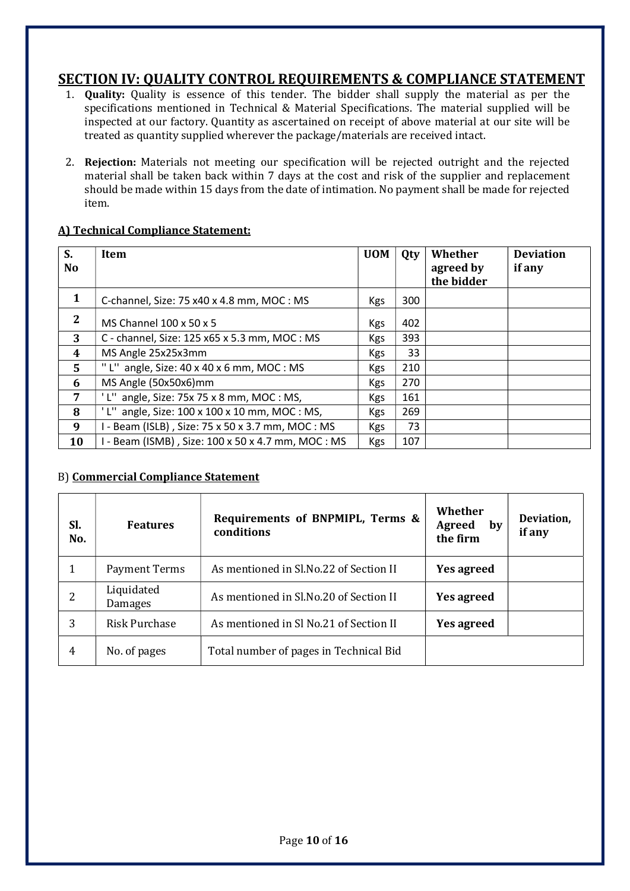## SECTION IV: QUALITY CONTROL REQUIREMENTS & COMPLIANCE STATEMENT

- 1. Quality: Quality is essence of this tender. The bidder shall supply the material as per the specifications mentioned in Technical & Material Specifications. The material supplied will be inspected at our factory. Quantity as ascertained on receipt of above material at our site will be treated as quantity supplied wherever the package/materials are received intact.
- 2. Rejection: Materials not meeting our specification will be rejected outright and the rejected material shall be taken back within 7 days at the cost and risk of the supplier and replacement should be made within 15 days from the date of intimation. No payment shall be made for rejected item.

#### A) Technical Compliance Statement:

| S.<br>N <sub>0</sub> | Item                                                    | <b>UOM</b> | Qty | Whether<br>agreed by<br>the bidder | <b>Deviation</b><br>if any |
|----------------------|---------------------------------------------------------|------------|-----|------------------------------------|----------------------------|
| 1                    | C-channel, Size: 75 x40 x 4.8 mm, MOC: MS               | <b>Kgs</b> | 300 |                                    |                            |
| 2                    | MS Channel 100 x 50 x 5                                 | <b>Kgs</b> | 402 |                                    |                            |
| 3                    | C - channel, Size: 125 x65 x 5.3 mm, MOC : MS           | <b>Kgs</b> | 393 |                                    |                            |
| 4                    | MS Angle 25x25x3mm                                      | <b>Kgs</b> | 33  |                                    |                            |
| 5.                   | "L" angle, Size: $40 \times 40 \times 6$ mm, MOC: MS    | <b>Kgs</b> | 210 |                                    |                            |
| 6                    | MS Angle (50x50x6)mm                                    | <b>Kgs</b> | 270 |                                    |                            |
| 7                    | L" angle, Size: $75x 75x 8$ mm, MOC: MS,                | <b>Kgs</b> | 161 |                                    |                            |
| 8                    | L" angle, Size: $100 \times 100 \times 10$ mm, MOC: MS, | <b>Kgs</b> | 269 |                                    |                            |
| 9                    | I - Beam (ISLB), Size: 75 x 50 x 3.7 mm, MOC : MS       | <b>Kgs</b> | 73  |                                    |                            |
| 10                   | I - Beam (ISMB), Size: 100 x 50 x 4.7 mm, MOC : MS      | <b>Kgs</b> | 107 |                                    |                            |

#### B) Commercial Compliance Statement

| Sl.<br>No. | <b>Features</b>       | Requirements of BNPMIPL, Terms &<br>conditions | Whether<br>Agreed<br>by<br>the firm | Deviation,<br>if any |
|------------|-----------------------|------------------------------------------------|-------------------------------------|----------------------|
|            | Payment Terms         | As mentioned in Sl.No.22 of Section II         | <b>Yes agreed</b>                   |                      |
|            | Liquidated<br>Damages | As mentioned in Sl.No.20 of Section II         | Yes agreed                          |                      |
| 3          | <b>Risk Purchase</b>  | As mentioned in Sl No.21 of Section II         | <b>Yes agreed</b>                   |                      |
| 4          | No. of pages          | Total number of pages in Technical Bid         |                                     |                      |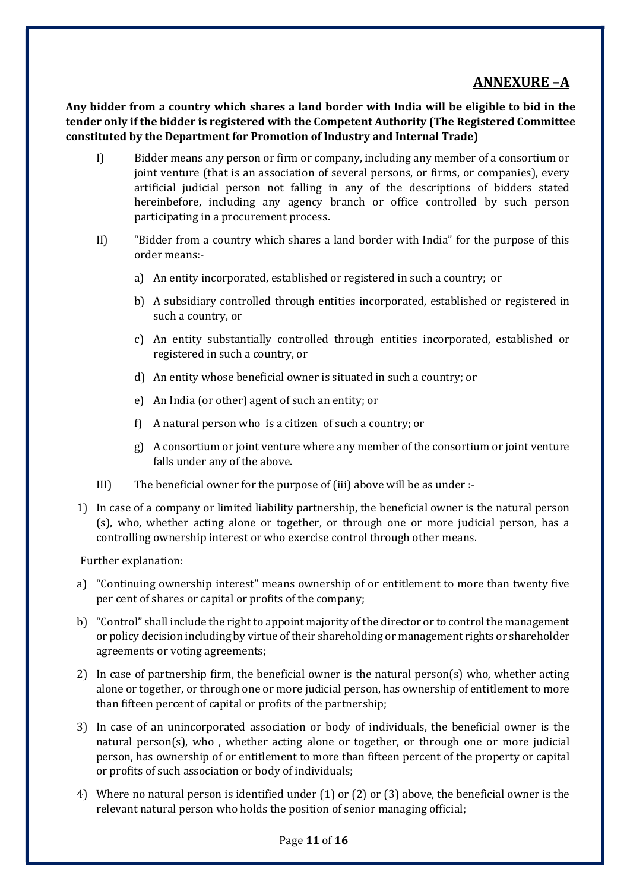## ANNEXURE –A

Any bidder from a country which shares a land border with India will be eligible to bid in the tender only if the bidder is registered with the Competent Authority (The Registered Committee constituted by the Department for Promotion of Industry and Internal Trade)

- I) Bidder means any person or firm or company, including any member of a consortium or joint venture (that is an association of several persons, or firms, or companies), every artificial judicial person not falling in any of the descriptions of bidders stated hereinbefore, including any agency branch or office controlled by such person participating in a procurement process.
- II) "Bidder from a country which shares a land border with India" for the purpose of this order means:
	- a) An entity incorporated, established or registered in such a country; or
	- b) A subsidiary controlled through entities incorporated, established or registered in such a country, or
	- c) An entity substantially controlled through entities incorporated, established or registered in such a country, or
	- d) An entity whose beneficial owner is situated in such a country; or
	- e) An India (or other) agent of such an entity; or
	- f) A natural person who is a citizen of such a country; or
	- g) A consortium or joint venture where any member of the consortium or joint venture falls under any of the above.
- III) The beneficial owner for the purpose of (iii) above will be as under :-
- 1) In case of a company or limited liability partnership, the beneficial owner is the natural person (s), who, whether acting alone or together, or through one or more judicial person, has a controlling ownership interest or who exercise control through other means.

Further explanation:

- a) "Continuing ownership interest" means ownership of or entitlement to more than twenty five per cent of shares or capital or profits of the company;
- b) "Control" shall include the right to appoint majority of the director or to control the management or policy decision including by virtue of their shareholding or management rights or shareholder agreements or voting agreements;
- 2) In case of partnership firm, the beneficial owner is the natural person(s) who, whether acting alone or together, or through one or more judicial person, has ownership of entitlement to more than fifteen percent of capital or profits of the partnership;
- 3) In case of an unincorporated association or body of individuals, the beneficial owner is the natural person(s), who , whether acting alone or together, or through one or more judicial person, has ownership of or entitlement to more than fifteen percent of the property or capital or profits of such association or body of individuals;
- 4) Where no natural person is identified under (1) or (2) or (3) above, the beneficial owner is the relevant natural person who holds the position of senior managing official;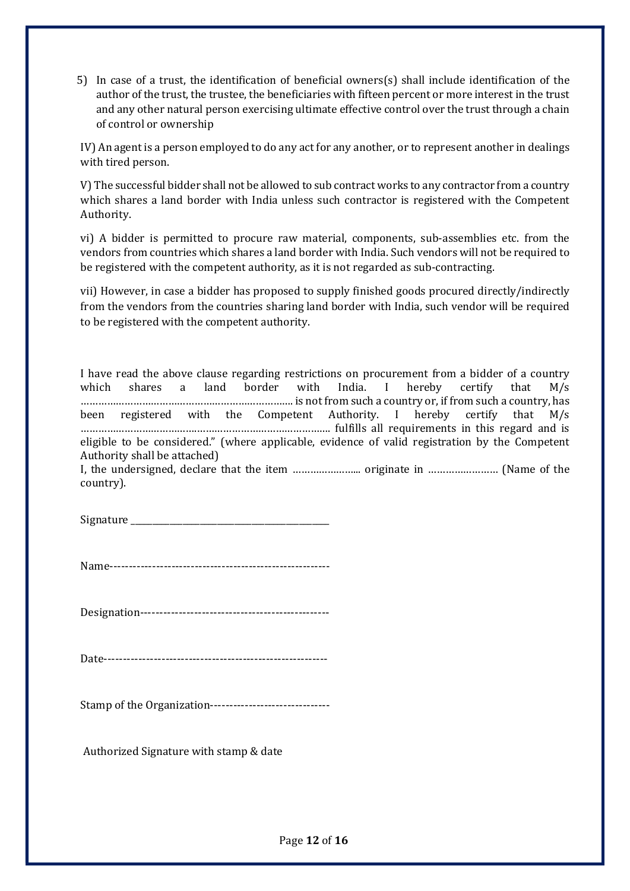5) In case of a trust, the identification of beneficial owners(s) shall include identification of the author of the trust, the trustee, the beneficiaries with fifteen percent or more interest in the trust and any other natural person exercising ultimate effective control over the trust through a chain of control or ownership

IV) An agent is a person employed to do any act for any another, or to represent another in dealings with tired person.

V) The successful bidder shall not be allowed to sub contract works to any contractor from a country which shares a land border with India unless such contractor is registered with the Competent Authority.

vi) A bidder is permitted to procure raw material, components, sub-assemblies etc. from the vendors from countries which shares a land border with India. Such vendors will not be required to be registered with the competent authority, as it is not regarded as sub-contracting.

vii) However, in case a bidder has proposed to supply finished goods procured directly/indirectly from the vendors from the countries sharing land border with India, such vendor will be required to be registered with the competent authority.

I have read the above clause regarding restrictions on procurement from a bidder of a country which shares a land border with India. I hereby certify that M/s ………………………………………………………………. is not from such a country or, if from such a country, has been registered with the Competent Authority. I hereby certify that M/s ………………………………….………………………………………. fulfills all requirements in this regard and is eligible to be considered." (where applicable, evidence of valid registration by the Competent Authority shall be attached)

I, the undersigned, declare that the item …………………... originate in …………………… (Name of the country).

Signature

Name---------------------------------------------------------

Designation-------------------------------------------------

Date----------------------------------------------------------

Stamp of the Organization-------------------------------

Authorized Signature with stamp & date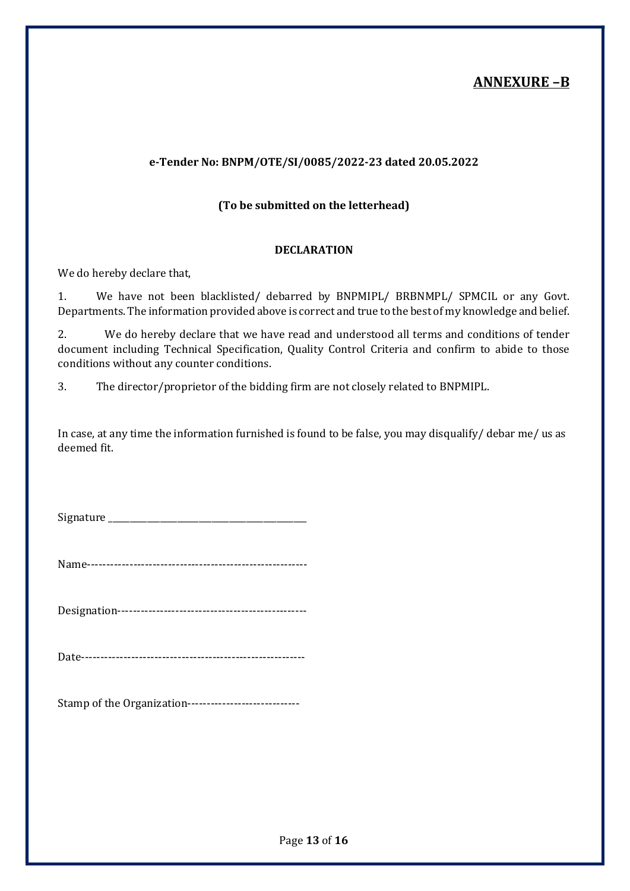## ANNEXURE –B

#### e-Tender No: BNPM/OTE/SI/0085/2022-23 dated 20.05.2022

#### (To be submitted on the letterhead)

#### DECLARATION

We do hereby declare that,

1. We have not been blacklisted/ debarred by BNPMIPL/ BRBNMPL/ SPMCIL or any Govt. Departments. The information provided above is correct and true to the best of my knowledge and belief.

2. We do hereby declare that we have read and understood all terms and conditions of tender document including Technical Specification, Quality Control Criteria and confirm to abide to those conditions without any counter conditions.

3. The director/proprietor of the bidding firm are not closely related to BNPMIPL.

In case, at any time the information furnished is found to be false, you may disqualify/ debar me/ us as deemed fit.

Signature  $\Box$ 

Name---------------------------------------------------------

Designation-------------------------------------------------

Date----------------------------------------------------------

Stamp of the Organization-----------------------------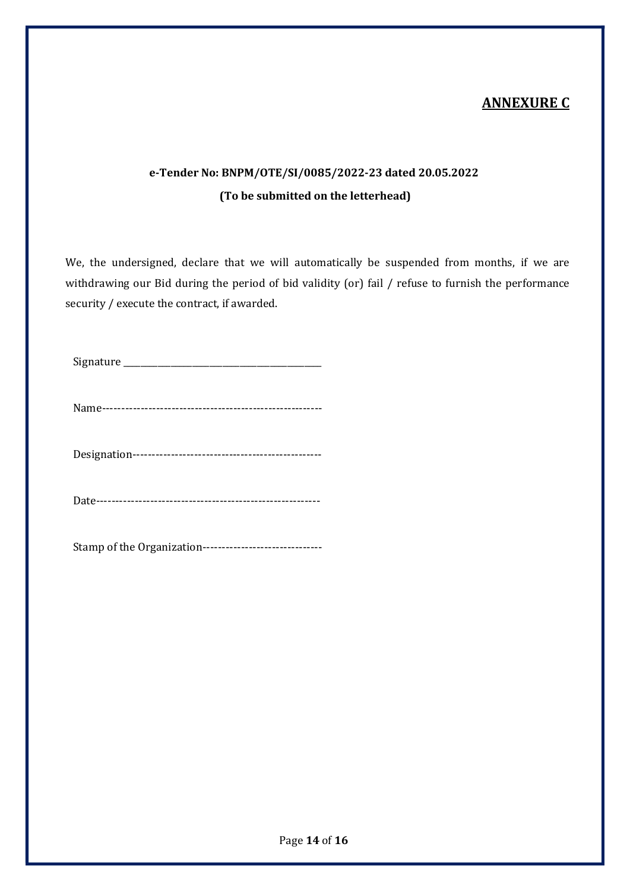## ANNEXURE C

## e-Tender No: BNPM/OTE/SI/0085/2022-23 dated 20.05.2022 (To be submitted on the letterhead)

We, the undersigned, declare that we will automatically be suspended from months, if we are withdrawing our Bid during the period of bid validity (or) fail / refuse to furnish the performance security / execute the contract, if awarded.

Signature \_\_\_\_\_\_\_\_\_\_\_\_\_\_\_\_\_\_\_\_\_\_\_\_\_\_\_\_\_\_\_\_\_\_\_\_\_\_\_\_\_\_\_\_\_\_

Name---------------------------------------------------------

Designation-------------------------------------------------

Date----------------------------------------------------------

Stamp of the Organization-------------------------------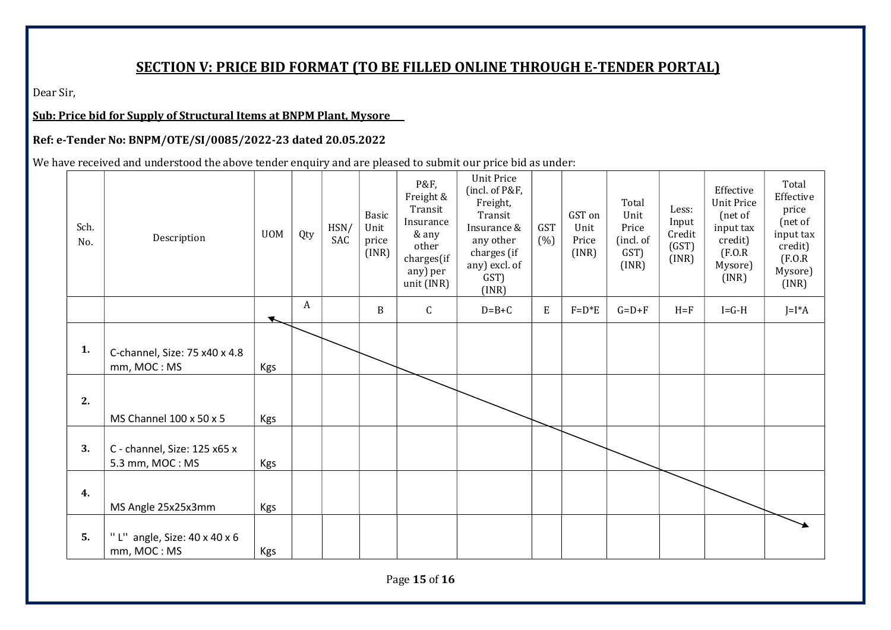## SECTION V: PRICE BID FORMAT (TO BE FILLED ONLINE THROUGH E-TENDER PORTAL)

Dear Sir,

Sub: Price bid for Supply of Structural Items at BNPM Plant, Mysore

#### Ref: e-Tender No: BNPM/OTE/SI/0085/2022-23 dated 20.05.2022

We have received and understood the above tender enquiry and are pleased to submit our price bid as under:

| Sch.<br>No. | Description                                             | <b>UOM</b>           | Qty              | HSN/<br>SAC | Basic<br>Unit<br>price<br>(INR) | P&F,<br>Freight &<br>Transit<br>Insurance<br>& any<br>other<br>charges(if<br>any) per<br>unit (INR) | <b>Unit Price</b><br>(incl. of P&F,<br>Freight,<br>Transit<br>Insurance &<br>any other<br>charges (if<br>any) excl. of<br>GST)<br>(INR) | <b>GST</b><br>(% ) | GST on<br>Unit<br>Price<br>(INR) | Total<br>Unit<br>Price<br>(incl. of<br>GST)<br>(INR) | Less:<br>Input<br>Credit<br>(GST)<br>(INR) | Effective<br><b>Unit Price</b><br>(net of<br>input tax<br>credit)<br>(F.0.R)<br>Mysore)<br>(INR) | Total<br>Effective<br>price<br>(net of<br>input tax<br>credit)<br>(F.0.R)<br>Mysore)<br>(INR) |
|-------------|---------------------------------------------------------|----------------------|------------------|-------------|---------------------------------|-----------------------------------------------------------------------------------------------------|-----------------------------------------------------------------------------------------------------------------------------------------|--------------------|----------------------------------|------------------------------------------------------|--------------------------------------------|--------------------------------------------------------------------------------------------------|-----------------------------------------------------------------------------------------------|
|             |                                                         | $\blacktriangledown$ | $\boldsymbol{A}$ |             | B                               | $\mathsf{C}$                                                                                        | $D=B+C$                                                                                                                                 | E                  | $F = D*E$                        | $G=D+F$                                              | $H = F$                                    | $I = G - H$                                                                                      | $J=I^*A$                                                                                      |
| 1.          | C-channel, Size: 75 x40 x 4.8<br>mm, MOC: MS            | Kgs                  |                  |             |                                 |                                                                                                     |                                                                                                                                         |                    |                                  |                                                      |                                            |                                                                                                  |                                                                                               |
| 2.          | MS Channel 100 x 50 x 5                                 | Kgs                  |                  |             |                                 |                                                                                                     |                                                                                                                                         |                    |                                  |                                                      |                                            |                                                                                                  |                                                                                               |
| 3.          | C - channel, Size: 125 x65 x<br>5.3 mm, MOC: MS         | Kgs                  |                  |             |                                 |                                                                                                     |                                                                                                                                         |                    |                                  |                                                      |                                            |                                                                                                  |                                                                                               |
| 4.          | MS Angle 25x25x3mm                                      | Kgs                  |                  |             |                                 |                                                                                                     |                                                                                                                                         |                    |                                  |                                                      |                                            |                                                                                                  |                                                                                               |
| 5.          | "L" angle, Size: $40 \times 40 \times 6$<br>mm, MOC: MS | Kgs                  |                  |             |                                 |                                                                                                     |                                                                                                                                         |                    |                                  |                                                      |                                            |                                                                                                  |                                                                                               |